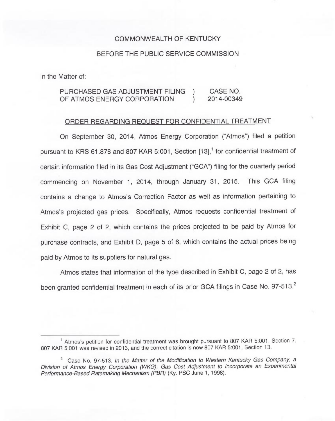## COMMONWEALTH OF KENTUCKY

## BEFORE THE PUBLIC SERVICE COMMISSION

In the Matter of:

## PURCHASED GAS ADJUSTMENT FILING ) CASE NO.<br>OF ATMOS ENFRGY CORPORATION ) 2014-00349 OF ATMOS ENERGY CORPORATION

## ORDER REGARDING REQUEST FOR CONFIDENTIAL TREATMENT

On September 30, 2014, Atmos Energy Corporation ("Atmos") filed a petitio pursuant to KRS 61.878 and 807 KAR 5:001, Section [13],<sup>1</sup> for confidential treatment of certain information filed in its Gas Cost Adjustment ("GCA") filing for the quarterly period commencing on November 1, 2014, through January 31, 2015. This GCA filing contains a change to Atmos's Correction Factor as well as information pertaining to Atmos's projected gas prices. Specifically, Atmos requests confidential treatment of Exhibit C, page 2 of 2, which contains the prices projected to be paid by Atmos for purchase contracts, and Exhibit D, page 5 of 6, which contains the actual prices being paid by Atmos to its suppliers for natural gas.

Atmos states that information of the type described in Exhibit C, page 2 of 2, has been granted confidential treatment in each of its prior GCA filings in Case No. 97-513.<sup>2</sup>

<sup>&</sup>lt;sup>1</sup> Atmos's petition for confidential treatment was brought pursuant to 807 KAR 5:001, Section 7. 807 KAR 5:001 was revised in 2013, and the correct citation is now 807 KAR 5:001, Section 13.

 $2^2$  Case No. 97-513, In the Matter of the Modification to Western Kentucky Gas Company, a Division of Atmos Energy Corporation (WKG), Gas Cost Adjustment to Incorporate an Experimental Performance-Based Ratemaking Mechanism (PBR) (Ky. PSC June 1, 1998).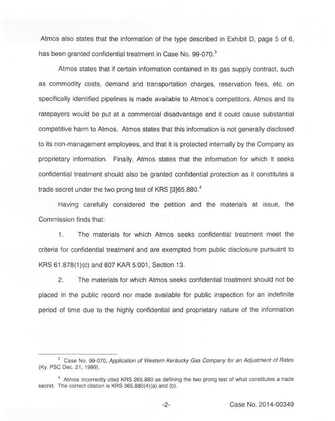Atmos also states that the information of the type described in Exhibit D, page 5 of 6, has been granted confidential treatment in Case No. 99-070.<sup>3</sup>

Atmos states that if certain information contained in its gas supply contract, such as commodity costs, demand and transportation charges, reservation fees, etc. on specifically identified pipelines is made available to Atmos's competitors, Atmos and its ratepayers would be put at a commercial disadvantage and it could cause substantial competitive harm to Atmos. Atmos states that this information is not generally disclosed to its non-management employees, and that it is protected internally by the Company as proprietary information. Finally, Atmos states that the information for which it seeks confidential treatment should also be granted confidential protection as it constitutes a trade secret under the two prong test of KRS [3]65.880.<sup>4</sup>

carefully considered the petition and the materials at issue, the Commission finds that:

The materials for which Atmos seeks confidential treatment meet the  $1.$ criteria for confidential treatment and are exempted from public disclosure pursuant to KRS 61.878(1)(c) and 807 KAR 5:001, Section 13.

2. The materials for which Atmos seeks confidential treatment should not be placed in the public record nor made available for public inspection for an indefinite period of time due to the highly confidential and proprietary nature of the information

 $3$  Case No. 99-070, Application of Western Kentucky Gas Company for an Adjustment of Rates (Ky. PSC Dec. 21, 1999).

 $4$  Atmos incorrectly cited KRS 265.880 as defining the two prong test of what constitutes a trade secret. The correct citation is KRS 365.880(4)(a) and (b).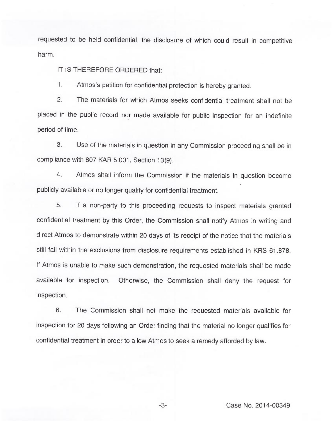requested to be held confidential, the disclosure of which could result in competitive harm.

IT IS THEREFORE ORDERED that:

1. Atmos's petition for confidential protection is hereby granted.

2. The materials for which Atmos seeks confidential treatment shall not be placed in the public record nor made available for public inspection for an indefinite period of time.

3. Use of the materials in question in any Commission proceeding shall be in compliance with 807 KAR 5:001, Section 13(9).

4. Atmos shall inform the Commission if the materials in question become publicly available or no longer qualify for confidential treatment.

5. If a non-party to this proceeding requests to inspect materials granted confidential treatment by this Order, the Commission shall notify Atmos in writing and direct Atmos to demonstrate within 20 days of its receipt of the notice that the materials still fall within the exclusions from disclosure requirements established in KRS 61.878. If Atmos is unable to make such demonstration, the requested materials shall be made available for inspection. Otherwise, the Commission shall deny the request for inspection.

6. The Commission shall not make the requested materials available for inspection for 20 days following an Order finding that the material no longer qualifies for confidential treatment in order to allow Atmos to seek a remedy afforded by law.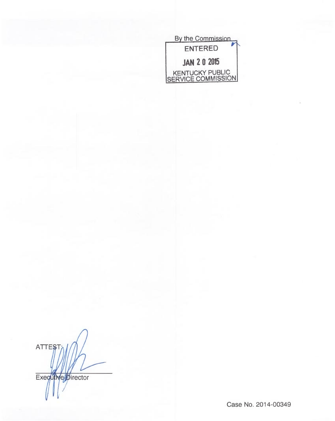

**ATTEST Executive** 

Case No. 2014-00349